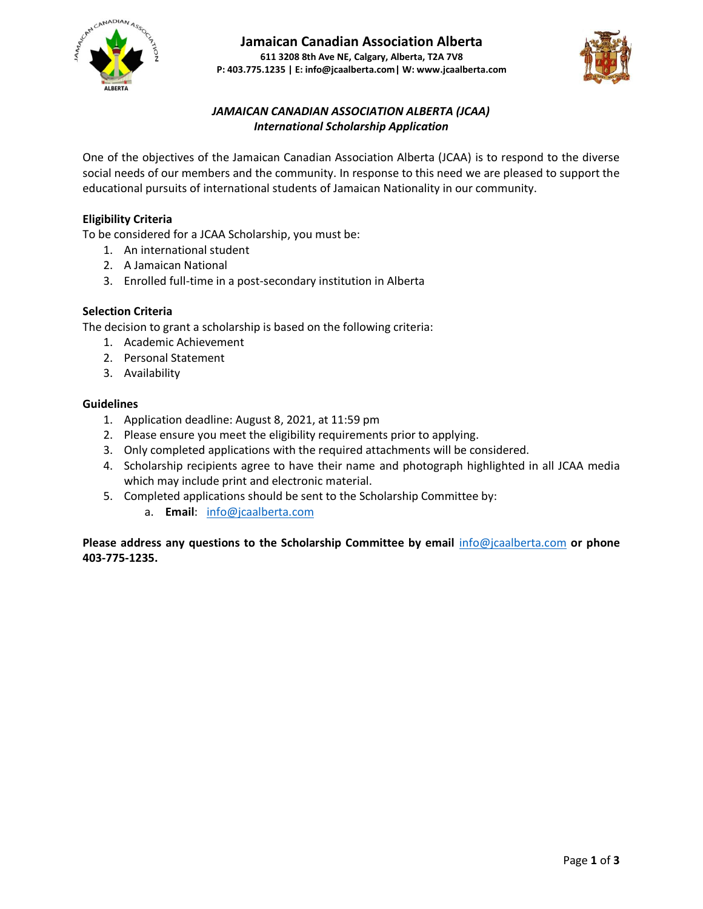



# *JAMAICAN CANADIAN ASSOCIATION ALBERTA (JCAA) International Scholarship Application*

One of the objectives of the Jamaican Canadian Association Alberta (JCAA) is to respond to the diverse social needs of our members and the community. In response to this need we are pleased to support the educational pursuits of international students of Jamaican Nationality in our community.

## **Eligibility Criteria**

To be considered for a JCAA Scholarship, you must be:

- 1. An international student
- 2. A Jamaican National
- 3. Enrolled full-time in a post-secondary institution in Alberta

### **Selection Criteria**

The decision to grant a scholarship is based on the following criteria:

- 1. Academic Achievement
- 2. Personal Statement
- 3. Availability

### **Guidelines**

- 1. Application deadline: August 8, 2021, at 11:59 pm
- 2. Please ensure you meet the eligibility requirements prior to applying.
- 3. Only completed applications with the required attachments will be considered.
- 4. Scholarship recipients agree to have their name and photograph highlighted in all JCAA media which may include print and electronic material.
- 5. Completed applications should be sent to the Scholarship Committee by:
	- a. **Email**: [info@jcaalberta.com](mailto:info@jcaalberta.com)

**Please address any questions to the Scholarship Committee by email** [info@jcaalberta.com](mailto:info@jcaalberta.com) **or phone 403-775-1235.**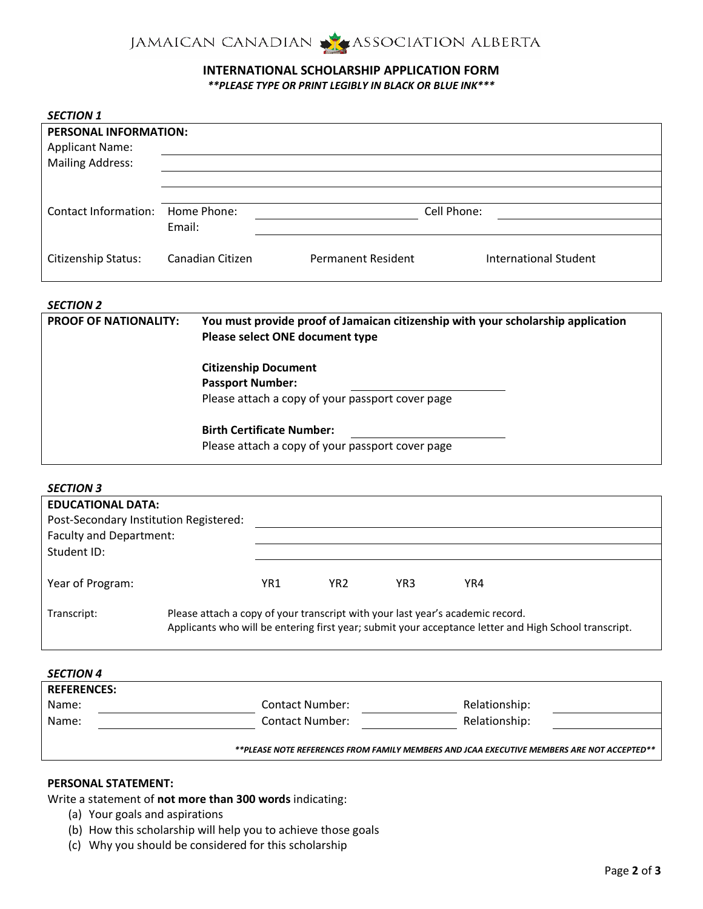

# **INTERNATIONAL SCHOLARSHIP APPLICATION FORM**

*\*\*PLEASE TYPE OR PRINT LEGIBLY IN BLACK OR BLUE INK\*\*\**

| <b>SECTION 1</b>                                |                  |                           |                       |
|-------------------------------------------------|------------------|---------------------------|-----------------------|
| PERSONAL INFORMATION:<br><b>Applicant Name:</b> |                  |                           |                       |
| <b>Mailing Address:</b>                         |                  |                           |                       |
|                                                 |                  |                           |                       |
|                                                 |                  |                           |                       |
| Contact Information:                            | Home Phone:      |                           | Cell Phone:           |
|                                                 | Email:           |                           |                       |
| Citizenship Status:                             | Canadian Citizen | <b>Permanent Resident</b> | International Student |

#### *SECTION 2*

| <b>PROOF OF NATIONALITY:</b> | You must provide proof of Jamaican citizenship with your scholarship application<br>Please select ONE document type |
|------------------------------|---------------------------------------------------------------------------------------------------------------------|
|                              | <b>Citizenship Document</b>                                                                                         |
|                              | <b>Passport Number:</b>                                                                                             |
|                              | Please attach a copy of your passport cover page                                                                    |
|                              | <b>Birth Certificate Number:</b>                                                                                    |
|                              | Please attach a copy of your passport cover page                                                                    |

| <b>SECTION 3</b>                       |                                                                                |        |               |               |                                                                                                       |  |
|----------------------------------------|--------------------------------------------------------------------------------|--------|---------------|---------------|-------------------------------------------------------------------------------------------------------|--|
| <b>EDUCATIONAL DATA:</b>               |                                                                                |        |               |               |                                                                                                       |  |
| Post-Secondary Institution Registered: |                                                                                |        |               |               |                                                                                                       |  |
| Faculty and Department:                |                                                                                |        |               |               |                                                                                                       |  |
| Student ID:                            |                                                                                |        |               |               |                                                                                                       |  |
| Year of Program:                       |                                                                                | YR1 () | YR2 $\bigcap$ | YR3 $\bigcap$ | YR4 $\bigcap$                                                                                         |  |
| Transcript:                            | Please attach a copy of your transcript with your last year's academic record. |        |               |               | Applicants who will be entering first year; submit your acceptance letter and High School transcript. |  |

| <b>SECTION 4</b>   |                        |                                                                                            |  |
|--------------------|------------------------|--------------------------------------------------------------------------------------------|--|
| <b>REFERENCES:</b> |                        |                                                                                            |  |
| Name:              | <b>Contact Number:</b> | Relationship:                                                                              |  |
| Name:              | <b>Contact Number:</b> | Relationship:                                                                              |  |
|                    |                        | **PLEASE NOTE REFERENCES FROM FAMILY MEMBERS AND JCAA EXECUTIVE MEMBERS ARE NOT ACCEPTED** |  |

### **PERSONAL STATEMENT:**

Write a statement of **not more than 300 words** indicating:

- (a) Your goals and aspirations
- (b) How this scholarship will help you to achieve those goals
- (c) Why you should be considered for this scholarship